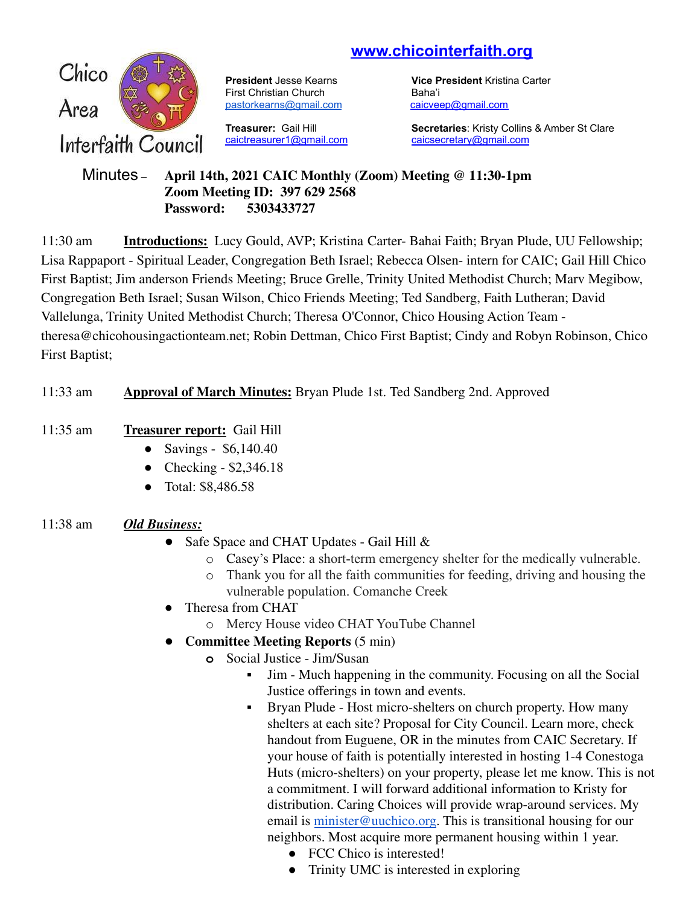# **www.chicointerfaith.org**



First Christian Church Baha'i [pastorkearns@gmail.com](mailto:pastorkearns@gmail.com) [caicveep@gmail.com](mailto:caicveep@gmail.com)

[caictreasurer1@gmail.com](mailto:caictreasurer1@gmail.com) [caicsecretary@gmail.com](mailto:caicsecretary@gmail.com)

**President** Jesse Kearns **Vice President** Kristina Carter

**Treasurer:** Gail Hill **Secretaries**: Kristy Collins & Amber St Clare

#### Minutes – **April 14th, 2021 CAIC Monthly (Zoom) Meeting @ 11:30-1pm Zoom Meeting ID: 397 629 2568 Password: 5303433727**

11:30 am **Introductions:** Lucy Gould, AVP; Kristina Carter- Bahai Faith; Bryan Plude, UU Fellowship; Lisa Rappaport - Spiritual Leader, Congregation Beth Israel; Rebecca Olsen- intern for CAIC; Gail Hill Chico First Baptist; Jim anderson Friends Meeting; Bruce Grelle, Trinity United Methodist Church; Marv Megibow, Congregation Beth Israel; Susan Wilson, Chico Friends Meeting; Ted Sandberg, Faith Lutheran; David Vallelunga, Trinity United Methodist Church; Theresa O'Connor, Chico Housing Action Team theresa@chicohousingactionteam.net; Robin Dettman, Chico First Baptist; Cindy and Robyn Robinson, Chico First Baptist;

## 11:33 am **Approval of March Minutes:** Bryan Plude 1st. Ted Sandberg 2nd. Approved

## 11:35 am **Treasurer report:** Gail Hill

- Savings \$6,140.40
- Checking  $$2,346.18$
- Total: \$8,486.58

## 11:38 am *Old Business:*

- Safe Space and CHAT Updates Gail Hill  $&$ 
	- o Casey's Place: a short-term emergency shelter for the medically vulnerable.
	- o Thank you for all the faith communities for feeding, driving and housing the vulnerable population. Comanche Creek
- Theresa from CHAT
	- o Mercy House video CHAT YouTube Channel
- **Committee Meeting Reports** (5 min)
	- **o** Social Justice Jim/Susan
		- Jim Much happening in the community. Focusing on all the Social Justice offerings in town and events.
		- Bryan Plude Host micro-shelters on church property. How many shelters at each site? Proposal for City Council. Learn more, check handout from Euguene, OR in the minutes from CAIC Secretary. If your house of faith is potentially interested in hosting 1-4 Conestoga Huts (micro-shelters) on your property, please let me know. This is not a commitment. I will forward additional information to Kristy for distribution. Caring Choices will provide wrap-around services. My email is [minister@uuchico.org.](mailto:minister@uuchico.org) This is transitional housing for our neighbors. Most acquire more permanent housing within 1 year.
			- FCC Chico is interested!
			- Trinity UMC is interested in exploring